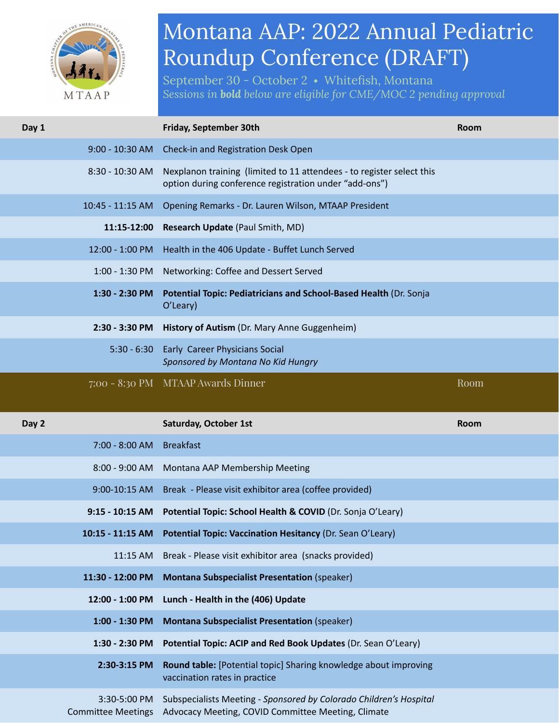

## Montana AAP: 2022 Annual Pediatric Roundup Conference (DRAFT)

September 30 - October 2 ⬩ Whitefish, Montana *Sessions in bold below are eligible for CME/MOC 2 pending approval*

| Day 1                                     | Friday, September 30th                                                                                                          | <b>Room</b> |
|-------------------------------------------|---------------------------------------------------------------------------------------------------------------------------------|-------------|
| $9:00 - 10:30$ AM                         | Check-in and Registration Desk Open                                                                                             |             |
| 8:30 - 10:30 AM                           | Nexplanon training (limited to 11 attendees - to register select this<br>option during conference registration under "add-ons") |             |
| 10:45 - 11:15 AM                          | Opening Remarks - Dr. Lauren Wilson, MTAAP President                                                                            |             |
| 11:15-12:00                               | Research Update (Paul Smith, MD)                                                                                                |             |
| 12:00 - 1:00 PM                           | Health in the 406 Update - Buffet Lunch Served                                                                                  |             |
| $1:00 - 1:30$ PM                          | Networking: Coffee and Dessert Served                                                                                           |             |
| $1:30 - 2:30$ PM                          | Potential Topic: Pediatricians and School-Based Health (Dr. Sonja<br>O'Leary)                                                   |             |
|                                           | 2:30 - 3:30 PM History of Autism (Dr. Mary Anne Guggenheim)                                                                     |             |
| $5:30 - 6:30$                             | Early Career Physicians Social<br>Sponsored by Montana No Kid Hungry                                                            |             |
|                                           | 7:00 - 8:30 PM MTAAP Awards Dinner                                                                                              | Room        |
| Day 2                                     | <b>Saturday, October 1st</b>                                                                                                    | <b>Room</b> |
| 7:00 - 8:00 AM                            | <b>Breakfast</b>                                                                                                                |             |
|                                           | 8:00 - 9:00 AM Montana AAP Membership Meeting                                                                                   |             |
| 9:00-10:15 AM                             | Break - Please visit exhibitor area (coffee provided)                                                                           |             |
|                                           | 9:15 - 10:15 AM Potential Topic: School Health & COVID (Dr. Sonja O'Leary)                                                      |             |
| 10:15 - 11:15 AM                          | Potential Topic: Vaccination Hesitancy (Dr. Sean O'Leary)                                                                       |             |
| 11:15 AM                                  | Break - Please visit exhibitor area (snacks provided)                                                                           |             |
| 11:30 - 12:00 PM                          | <b>Montana Subspecialist Presentation (speaker)</b>                                                                             |             |
| 12:00 - 1:00 PM                           | Lunch - Health in the (406) Update                                                                                              |             |
| 1:00 - 1:30 PM                            | <b>Montana Subspecialist Presentation (speaker)</b>                                                                             |             |
| 1:30 - 2:30 PM                            | Potential Topic: ACIP and Red Book Updates (Dr. Sean O'Leary)                                                                   |             |
| 2:30-3:15 PM                              | Round table: [Potential topic] Sharing knowledge about improving<br>vaccination rates in practice                               |             |
| 3:30-5:00 PM<br><b>Committee Meetings</b> | Subspecialists Meeting - Sponsored by Colorado Children's Hospital<br>Advocacy Meeting, COVID Committee Meeting, Climate        |             |